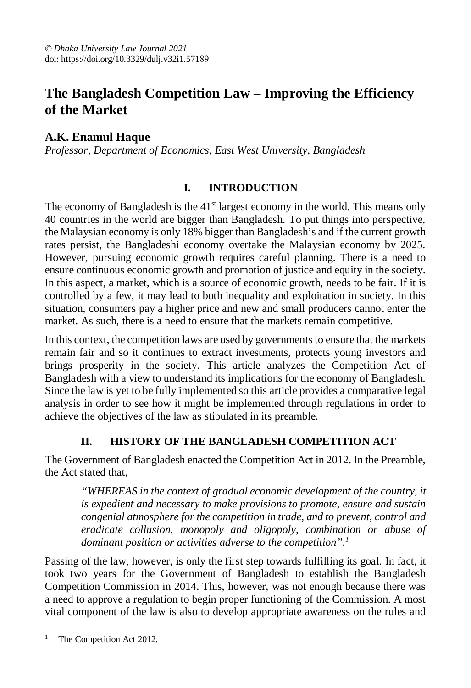# **The Bangladesh Competition Law – Improving the Efficiency of the Market**

# **A.K. Enamul Haque**

*Professor, Department of Economics, East West University, Bangladesh*

# **I. INTRODUCTION**

The economy of Bangladesh is the  $41<sup>st</sup>$  largest economy in the world. This means only 40 countries in the world are bigger than Bangladesh. To put things into perspective, the Malaysian economy is only 18% bigger than Bangladesh's and if the current growth rates persist, the Bangladeshi economy overtake the Malaysian economy by 2025. However, pursuing economic growth requires careful planning. There is a need to ensure continuous economic growth and promotion of justice and equity in the society. In this aspect, a market, which is a source of economic growth, needs to be fair. If it is controlled by a few, it may lead to both inequality and exploitation in society. In this situation, consumers pay a higher price and new and small producers cannot enter the market. As such, there is a need to ensure that the markets remain competitive.

In this context, the competition laws are used by governments to ensure that the markets remain fair and so it continues to extract investments, protects young investors and brings prosperity in the society. This article analyzes the Competition Act of Bangladesh with a view to understand its implications for the economy of Bangladesh. Since the law is yet to be fully implemented so this article provides a comparative legal analysis in order to see how it might be implemented through regulations in order to achieve the objectives of the law as stipulated in its preamble.

# **II. HISTORY OF THE BANGLADESH COMPETITION ACT**

The Government of Bangladesh enacted the Competition Act in 2012. In the Preamble, the Act stated that,

*"WHEREAS in the context of gradual economic development of the country, it is expedient and necessary to make provisions to promote, ensure and sustain congenial atmosphere for the competition in trade, and to prevent, control and eradicate collusion, monopoly and oligopoly, combination or abuse of dominant position or activities adverse to the competition".<sup>1</sup>*

Passing of the law, however, is only the first step towards fulfilling its goal. In fact, it took two years for the Government of Bangladesh to establish the Bangladesh Competition Commission in 2014. This, however, was not enough because there was a need to approve a regulation to begin proper functioning of the Commission. A most vital component of the law is also to develop appropriate awareness on the rules and

 $\overline{a}$ The Competition Act 2012.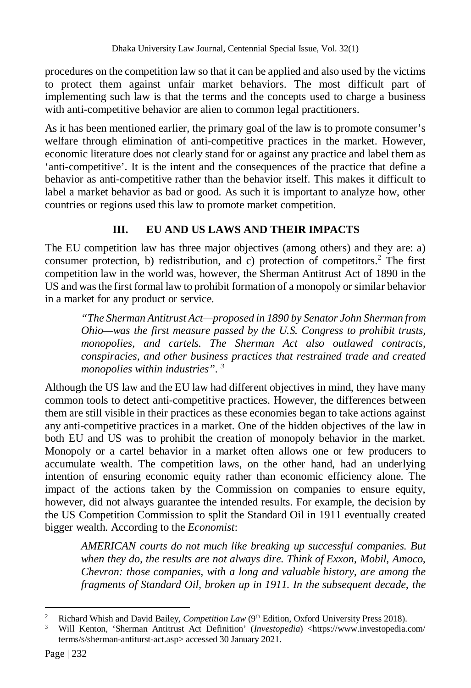procedures on the competition law so that it can be applied and also used by the victims to protect them against unfair market behaviors. The most difficult part of implementing such law is that the terms and the concepts used to charge a business with anti-competitive behavior are alien to common legal practitioners.

As it has been mentioned earlier, the primary goal of the law is to promote consumer's welfare through elimination of anti-competitive practices in the market. However, economic literature does not clearly stand for or against any practice and label them as 'anti-competitive'. It is the intent and the consequences of the practice that define a behavior as anti-competitive rather than the behavior itself. This makes it difficult to label a market behavior as bad or good. As such it is important to analyze how, other countries or regions used this law to promote market competition.

# **III. EU AND US LAWS AND THEIR IMPACTS**

The EU competition law has three major objectives (among others) and they are: a) consumer protection, b) redistribution, and c) protection of competitors.<sup>2</sup> The first competition law in the world was, however, the Sherman Antitrust Act of 1890 in the US and was the first formal law to prohibit formation of a monopoly or similar behavior in a market for any product or service.

*"The Sherman Antitrust Act—proposed in 1890 by Senator John Sherman from Ohio—was the first measure passed by the U.S. Congress to prohibit trusts, monopolies, and cartels. The Sherman Act also outlawed contracts, conspiracies, and other business practices that restrained trade and created monopolies within industries". <sup>3</sup>*

Although the US law and the EU law had different objectives in mind, they have many common tools to detect anti-competitive practices. However, the differences between them are still visible in their practices as these economies began to take actions against any anti-competitive practices in a market. One of the hidden objectives of the law in both EU and US was to prohibit the creation of monopoly behavior in the market. Monopoly or a cartel behavior in a market often allows one or few producers to accumulate wealth. The competition laws, on the other hand, had an underlying intention of ensuring economic equity rather than economic efficiency alone. The impact of the actions taken by the Commission on companies to ensure equity, however, did not always guarantee the intended results. For example, the decision by the US Competition Commission to split the Standard Oil in 1911 eventually created bigger wealth. According to the *Economist*:

*AMERICAN courts do not much like breaking up successful companies. But when they do, the results are not always dire. Think of Exxon, Mobil, Amoco, Chevron: those companies, with a long and valuable history, are among the fragments of Standard Oil, broken up in 1911. In the subsequent decade, the* 

 $\overline{a}$ Richard Whish and David Bailey, *Competition Law* (9<sup>th</sup> Edition, Oxford University Press 2018).

<sup>&</sup>lt;sup>3</sup> Will Kenton, 'Sherman Antitrust Act Definition' (*Investopedia*) <https://www.investopedia.com/ terms/s/sherman-antiturst-act.asp> accessed 30 January 2021.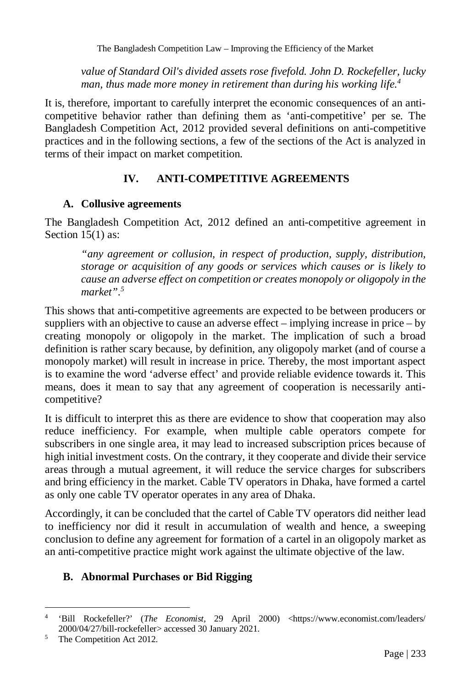The Bangladesh Competition Law – Improving the Efficiency of the Market

*value of Standard Oil's divided assets rose fivefold. John D. Rockefeller, lucky man, thus made more money in retirement than during his working life.<sup>4</sup>*

It is, therefore, important to carefully interpret the economic consequences of an anticompetitive behavior rather than defining them as 'anti-competitive' per se. The Bangladesh Competition Act, 2012 provided several definitions on anti-competitive practices and in the following sections, a few of the sections of the Act is analyzed in terms of their impact on market competition.

# **IV. ANTI-COMPETITIVE AGREEMENTS**

### **A. Collusive agreements**

The Bangladesh Competition Act, 2012 defined an anti-competitive agreement in Section 15(1) as:

*"any agreement or collusion, in respect of production, supply, distribution, storage or acquisition of any goods or services which causes or is likely to cause an adverse effect on competition or creates monopoly or oligopoly in the market".<sup>5</sup>*

This shows that anti-competitive agreements are expected to be between producers or suppliers with an objective to cause an adverse effect – implying increase in price – by creating monopoly or oligopoly in the market. The implication of such a broad definition is rather scary because, by definition, any oligopoly market (and of course a monopoly market) will result in increase in price. Thereby, the most important aspect is to examine the word 'adverse effect' and provide reliable evidence towards it. This means, does it mean to say that any agreement of cooperation is necessarily anticompetitive?

It is difficult to interpret this as there are evidence to show that cooperation may also reduce inefficiency. For example, when multiple cable operators compete for subscribers in one single area, it may lead to increased subscription prices because of high initial investment costs. On the contrary, it they cooperate and divide their service areas through a mutual agreement, it will reduce the service charges for subscribers and bring efficiency in the market. Cable TV operators in Dhaka, have formed a cartel as only one cable TV operator operates in any area of Dhaka.

Accordingly, it can be concluded that the cartel of Cable TV operators did neither lead to inefficiency nor did it result in accumulation of wealth and hence, a sweeping conclusion to define any agreement for formation of a cartel in an oligopoly market as an anti-competitive practice might work against the ultimate objective of the law.

# **B. Abnormal Purchases or Bid Rigging**

 $\overline{a}$ 4 'Bill Rockefeller?' (*The Economist,* 29 April 2000) <https://www.economist.com/leaders/ 2000/04/27/bill-rockefeller> accessed 30 January 2021.

<sup>5</sup> The Competition Act 2012.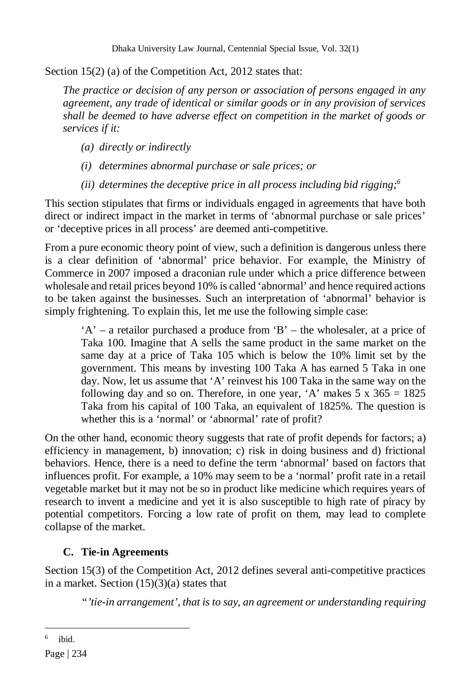Section 15(2) (a) of the Competition Act, 2012 states that:

*The practice or decision of any person or association of persons engaged in any agreement, any trade of identical or similar goods or in any provision of services shall be deemed to have adverse effect on competition in the market of goods or services if it:*

- *(a) directly or indirectly*
- *(i) determines abnormal purchase or sale prices; or*

*(ii) determines the deceptive price in all process including bid rigging;<sup>6</sup>*

This section stipulates that firms or individuals engaged in agreements that have both direct or indirect impact in the market in terms of 'abnormal purchase or sale prices' or 'deceptive prices in all process' are deemed anti-competitive.

From a pure economic theory point of view, such a definition is dangerous unless there is a clear definition of 'abnormal' price behavior. For example, the Ministry of Commerce in 2007 imposed a draconian rule under which a price difference between wholesale and retail prices beyond 10% is called 'abnormal' and hence required actions to be taken against the businesses. Such an interpretation of 'abnormal' behavior is simply frightening. To explain this, let me use the following simple case:

'A' – a retailor purchased a produce from 'B' – the wholesaler, at a price of Taka 100. Imagine that A sells the same product in the same market on the same day at a price of Taka 105 which is below the 10% limit set by the government. This means by investing 100 Taka A has earned 5 Taka in one day. Now, let us assume that 'A' reinvest his 100 Taka in the same way on the following day and so on. Therefore, in one year, 'A' makes  $5 \times 365 = 1825$ Taka from his capital of 100 Taka, an equivalent of 1825%. The question is whether this is a 'normal' or 'abnormal' rate of profit?

On the other hand, economic theory suggests that rate of profit depends for factors; a) efficiency in management, b) innovation; c) risk in doing business and d) frictional behaviors. Hence, there is a need to define the term 'abnormal' based on factors that influences profit. For example, a 10% may seem to be a 'normal' profit rate in a retail vegetable market but it may not be so in product like medicine which requires years of research to invent a medicine and yet it is also susceptible to high rate of piracy by potential competitors. Forcing a low rate of profit on them, may lead to complete collapse of the market.

# **C. Tie-in Agreements**

Section 15(3) of the Competition Act, 2012 defines several anti-competitive practices in a market. Section  $(15)(3)(a)$  states that

*"'tie-in arrangement', that is to say, an agreement or understanding requiring* 

<sup>6</sup> ibid.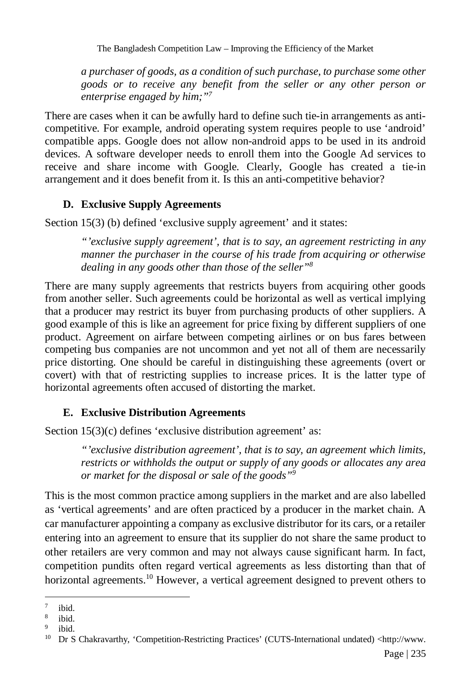The Bangladesh Competition Law – Improving the Efficiency of the Market

*a purchaser of goods, as a condition of such purchase, to purchase some other goods or to receive any benefit from the seller or any other person or enterprise engaged by him;"<sup>7</sup>*

There are cases when it can be awfully hard to define such tie-in arrangements as anticompetitive. For example, android operating system requires people to use 'android' compatible apps. Google does not allow non-android apps to be used in its android devices. A software developer needs to enroll them into the Google Ad services to receive and share income with Google. Clearly, Google has created a tie-in arrangement and it does benefit from it. Is this an anti-competitive behavior?

# **D. Exclusive Supply Agreements**

Section 15(3) (b) defined 'exclusive supply agreement' and it states:

*"'exclusive supply agreement', that is to say, an agreement restricting in any manner the purchaser in the course of his trade from acquiring or otherwise dealing in any goods other than those of the seller"<sup>8</sup>*

There are many supply agreements that restricts buyers from acquiring other goods from another seller. Such agreements could be horizontal as well as vertical implying that a producer may restrict its buyer from purchasing products of other suppliers. A good example of this is like an agreement for price fixing by different suppliers of one product. Agreement on airfare between competing airlines or on bus fares between competing bus companies are not uncommon and yet not all of them are necessarily price distorting. One should be careful in distinguishing these agreements (overt or covert) with that of restricting supplies to increase prices. It is the latter type of horizontal agreements often accused of distorting the market.

### **E. Exclusive Distribution Agreements**

Section 15(3)(c) defines 'exclusive distribution agreement' as:

*"'exclusive distribution agreement', that is to say, an agreement which limits, restricts or withholds the output or supply of any goods or allocates any area or market for the disposal or sale of the goods"<sup>9</sup>*

This is the most common practice among suppliers in the market and are also labelled as 'vertical agreements' and are often practiced by a producer in the market chain. A car manufacturer appointing a company as exclusive distributor for its cars, or a retailer entering into an agreement to ensure that its supplier do not share the same product to other retailers are very common and may not always cause significant harm. In fact, competition pundits often regard vertical agreements as less distorting than that of horizontal agreements.<sup>10</sup> However, a vertical agreement designed to prevent others to

 $\overline{a}$ 7 ibid.

<sup>8</sup> ibid.

<sup>&</sup>lt;sup>9</sup> ibid.

<sup>10</sup> Dr S Chakravarthy, 'Competition-Restricting Practices' (CUTS-International undated) <http://www.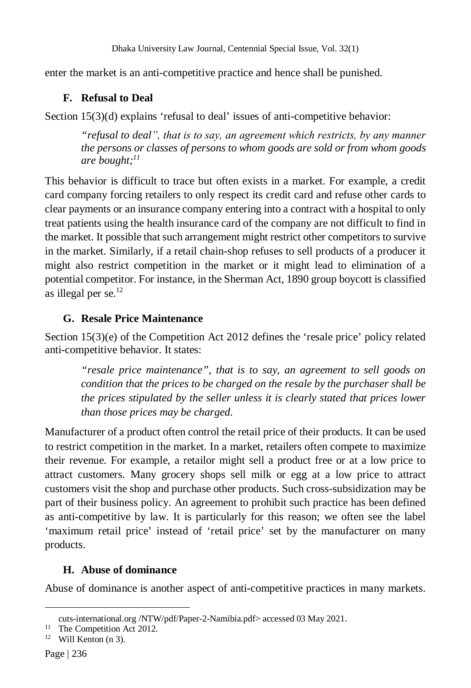enter the market is an anti-competitive practice and hence shall be punished.

### **F. Refusal to Deal**

Section 15(3)(d) explains 'refusal to deal' issues of anti-competitive behavior:

*"refusal to dealˮ, that is to say, an agreement which restricts, by any manner the persons or classes of persons to whom goods are sold or from whom goods are bought;<sup>11</sup>*

This behavior is difficult to trace but often exists in a market. For example, a credit card company forcing retailers to only respect its credit card and refuse other cards to clear payments or an insurance company entering into a contract with a hospital to only treat patients using the health insurance card of the company are not difficult to find in the market. It possible that such arrangement might restrict other competitors to survive in the market. Similarly, if a retail chain-shop refuses to sell products of a producer it might also restrict competition in the market or it might lead to elimination of a potential competitor. For instance, in the Sherman Act, 1890 group boycott is classified as illegal per se. $^{12}$ 

# **G. Resale Price Maintenance**

Section 15(3)(e) of the Competition Act 2012 defines the 'resale price' policy related anti-competitive behavior. It states:

*"resale price maintenance", that is to say, an agreement to sell goods on condition that the prices to be charged on the resale by the purchaser shall be the prices stipulated by the seller unless it is clearly stated that prices lower than those prices may be charged.*

Manufacturer of a product often control the retail price of their products. It can be used to restrict competition in the market. In a market, retailers often compete to maximize their revenue. For example, a retailor might sell a product free or at a low price to attract customers. Many grocery shops sell milk or egg at a low price to attract customers visit the shop and purchase other products. Such cross-subsidization may be part of their business policy. An agreement to prohibit such practice has been defined as anti-competitive by law. It is particularly for this reason; we often see the label 'maximum retail price' instead of 'retail price' set by the manufacturer on many products.

# **H. Abuse of dominance**

Abuse of dominance is another aspect of anti-competitive practices in many markets.

cuts-international.org /NTW/pdf/Paper-2-Namibia.pdf> accessed 03 May 2021.

<sup>&</sup>lt;sup>11</sup> The Competition Act 2012.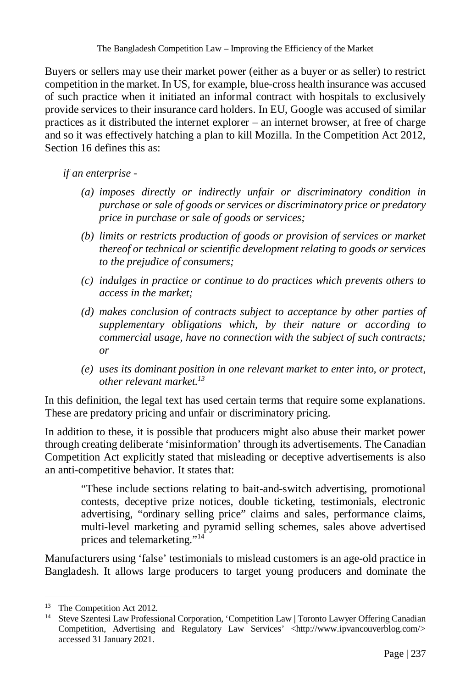Buyers or sellers may use their market power (either as a buyer or as seller) to restrict competition in the market. In US, for example, blue-cross health insurance was accused of such practice when it initiated an informal contract with hospitals to exclusively provide services to their insurance card holders. In EU, Google was accused of similar practices as it distributed the internet explorer – an internet browser, at free of charge and so it was effectively hatching a plan to kill Mozilla. In the Competition Act 2012, Section 16 defines this as:

*if an enterprise -*

- *(a) imposes directly or indirectly unfair or discriminatory condition in purchase or sale of goods or services or discriminatory price or predatory price in purchase or sale of goods or services;*
- *(b) limits or restricts production of goods or provision of services or market thereof or technical or scientific development relating to goods or services to the prejudice of consumers;*
- *(c) indulges in practice or continue to do practices which prevents others to access in the market;*
- *(d) makes conclusion of contracts subject to acceptance by other parties of supplementary obligations which, by their nature or according to commercial usage, have no connection with the subject of such contracts; or*
- *(e) uses its dominant position in one relevant market to enter into, or protect, other relevant market.<sup>13</sup>*

In this definition, the legal text has used certain terms that require some explanations. These are predatory pricing and unfair or discriminatory pricing.

In addition to these, it is possible that producers might also abuse their market power through creating deliberate 'misinformation' through its advertisements. The Canadian Competition Act explicitly stated that misleading or deceptive advertisements is also an anti-competitive behavior. It states that:

"These include sections relating to bait-and-switch advertising, promotional contests, deceptive prize notices, double ticketing, testimonials, electronic advertising, "ordinary selling price" claims and sales, performance claims, multi-level marketing and pyramid selling schemes, sales above advertised prices and telemarketing."<sup>14</sup>

Manufacturers using 'false' testimonials to mislead customers is an age-old practice in Bangladesh. It allows large producers to target young producers and dominate the

 $\overline{a}$ <sup>13</sup> The Competition Act 2012.

<sup>&</sup>lt;sup>14</sup> Steve Szentesi Law Professional Corporation, 'Competition Law | Toronto Lawyer Offering Canadian Competition, Advertising and Regulatory Law Services' <http://www.ipvancouverblog.com/> accessed 31 January 2021.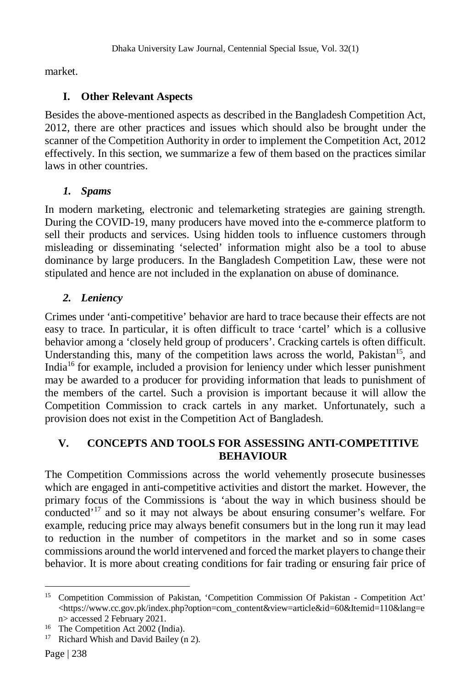market.

# **I. Other Relevant Aspects**

Besides the above-mentioned aspects as described in the Bangladesh Competition Act, 2012, there are other practices and issues which should also be brought under the scanner of the Competition Authority in order to implement the Competition Act, 2012 effectively. In this section, we summarize a few of them based on the practices similar laws in other countries.

# *1. Spams*

In modern marketing, electronic and telemarketing strategies are gaining strength. During the COVID-19, many producers have moved into the e-commerce platform to sell their products and services. Using hidden tools to influence customers through misleading or disseminating 'selected' information might also be a tool to abuse dominance by large producers. In the Bangladesh Competition Law, these were not stipulated and hence are not included in the explanation on abuse of dominance.

# *2. Leniency*

Crimes under 'anti-competitive' behavior are hard to trace because their effects are not easy to trace. In particular, it is often difficult to trace 'cartel' which is a collusive behavior among a 'closely held group of producers'. Cracking cartels is often difficult. Understanding this, many of the competition laws across the world, Pakistan<sup>15</sup>, and India<sup>16</sup> for example, included a provision for leniency under which lesser punishment may be awarded to a producer for providing information that leads to punishment of the members of the cartel. Such a provision is important because it will allow the Competition Commission to crack cartels in any market. Unfortunately, such a provision does not exist in the Competition Act of Bangladesh.

# **V. CONCEPTS AND TOOLS FOR ASSESSING ANTI-COMPETITIVE BEHAVIOUR**

The Competition Commissions across the world vehemently prosecute businesses which are engaged in anti-competitive activities and distort the market. However, the primary focus of the Commissions is 'about the way in which business should be conducted'<sup>17</sup> and so it may not always be about ensuring consumer's welfare. For example, reducing price may always benefit consumers but in the long run it may lead to reduction in the number of competitors in the market and so in some cases commissions around the world intervened and forced the market players to change their behavior. It is more about creating conditions for fair trading or ensuring fair price of

 $\overline{a}$ <sup>15</sup> Competition Commission of Pakistan, 'Competition Commission Of Pakistan - Competition Act' <https://www.cc.gov.pk/index.php?option=com\_content&view=article&id=60&Itemid=110&lang=e n> accessed 2 February 2021.

<sup>&</sup>lt;sup>16</sup> The Competition Act 2002 (India).

<sup>&</sup>lt;sup>17</sup> Richard Whish and David Bailey (n 2).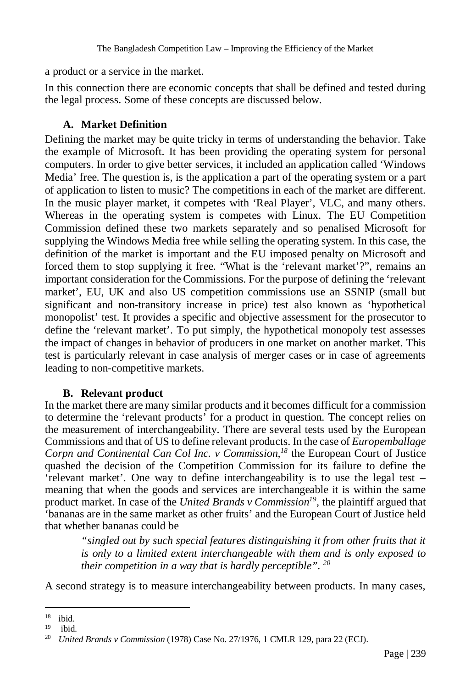a product or a service in the market.

In this connection there are economic concepts that shall be defined and tested during the legal process. Some of these concepts are discussed below.

### **A. Market Definition**

Defining the market may be quite tricky in terms of understanding the behavior. Take the example of Microsoft. It has been providing the operating system for personal computers. In order to give better services, it included an application called 'Windows Media' free. The question is, is the application a part of the operating system or a part of application to listen to music? The competitions in each of the market are different. In the music player market, it competes with 'Real Player', VLC, and many others. Whereas in the operating system is competes with Linux. The EU Competition Commission defined these two markets separately and so penalised Microsoft for supplying the Windows Media free while selling the operating system. In this case, the definition of the market is important and the EU imposed penalty on Microsoft and forced them to stop supplying it free. "What is the 'relevant market'?", remains an important consideration for the Commissions. For the purpose of defining the 'relevant market', EU, UK and also US competition commissions use an SSNIP (small but significant and non-transitory increase in price) test also known as 'hypothetical monopolist' test. It provides a specific and objective assessment for the prosecutor to define the 'relevant market'. To put simply, the hypothetical monopoly test assesses the impact of changes in behavior of producers in one market on another market. This test is particularly relevant in case analysis of merger cases or in case of agreements leading to non-competitive markets.

### **B. Relevant product**

In the market there are many similar products and it becomes difficult for a commission to determine the 'relevant products' for a product in question. The concept relies on the measurement of interchangeability. There are several tests used by the European Commissions and that of US to define relevant products. In the case of *Europemballage Corpn and Continental Can Col Inc. v Commission,<sup>18</sup>* the European Court of Justice quashed the decision of the Competition Commission for its failure to define the 'relevant market'. One way to define interchangeability is to use the legal test – meaning that when the goods and services are interchangeable it is within the same product market. In case of the *United Brands v Commission<sup>19</sup>*, the plaintiff argued that 'bananas are in the same market as other fruits' and the European Court of Justice held that whether bananas could be

*"singled out by such special features distinguishing it from other fruits that it is only to a limited extent interchangeable with them and is only exposed to their competition in a way that is hardly perceptible". <sup>20</sup>*

A second strategy is to measure interchangeability between products. In many cases,

 $\overline{a}$ <sup>18</sup> ibid.

 $19$  ibid.

<sup>20</sup> *United Brands v Commission* (1978) Case No. 27/1976, 1 CMLR 129, para 22 (ECJ).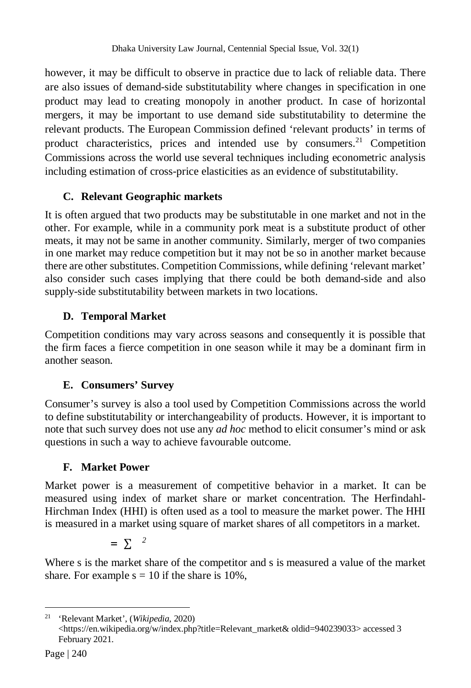however, it may be difficult to observe in practice due to lack of reliable data. There are also issues of demand-side substitutability where changes in specification in one product may lead to creating monopoly in another product. In case of horizontal mergers, it may be important to use demand side substitutability to determine the relevant products. The European Commission defined 'relevant products' in terms of product characteristics, prices and intended use by consumers. $21$  Competition Commissions across the world use several techniques including econometric analysis including estimation of cross-price elasticities as an evidence of substitutability.

# **C. Relevant Geographic markets**

It is often argued that two products may be substitutable in one market and not in the other. For example, while in a community pork meat is a substitute product of other meats, it may not be same in another community. Similarly, merger of two companies in one market may reduce competition but it may not be so in another market because there are other substitutes. Competition Commissions, while defining 'relevant market' also consider such cases implying that there could be both demand-side and also supply-side substitutability between markets in two locations.

### **D. Temporal Market**

Competition conditions may vary across seasons and consequently it is possible that the firm faces a fierce competition in one season while it may be a dominant firm in another season.

# **E. Consumers' Survey**

Consumer's survey is also a tool used by Competition Commissions across the world to define substitutability or interchangeability of products. However, it is important to note that such survey does not use any *ad hoc* method to elicit consumer's mind or ask questions in such a way to achieve favourable outcome.

### **F. Market Power**

Market power is a measurement of competitive behavior in a market. It can be measured using index of market share or market concentration. The Herfindahl-Hirchman Index (HHI) is often used as a tool to measure the market power. The HHI is measured in a market using square of market shares of all competitors in a market.

 $=$   $\Sigma$ <sup>2</sup>

Where s is the market share of the competitor and s is measured a value of the market share. For example  $s = 10$  if the share is 10%,

<sup>21</sup> 'Relevant Market', (*Wikipedia*, 2020) <https://en.wikipedia.org/w/index.php?title=Relevant\_market& oldid=940239033> accessed 3 February 2021.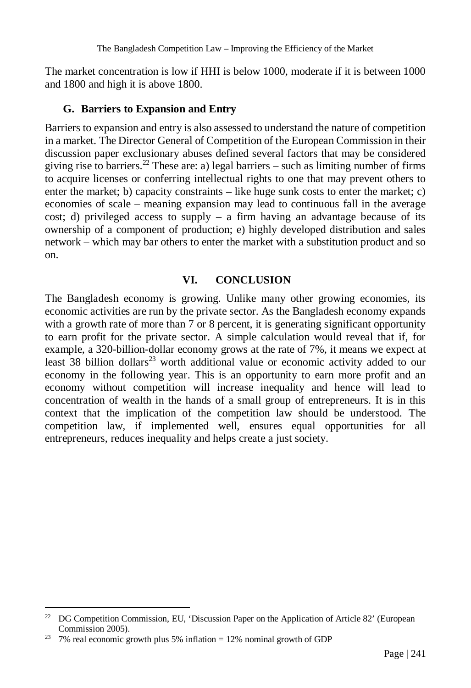The market concentration is low if HHI is below 1000, moderate if it is between 1000 and 1800 and high it is above 1800.

#### **G. Barriers to Expansion and Entry**

Barriers to expansion and entry is also assessed to understand the nature of competition in a market. The Director General of Competition of the European Commission in their discussion paper exclusionary abuses defined several factors that may be considered giving rise to barriers.<sup>22</sup> These are: a) legal barriers – such as limiting number of firms to acquire licenses or conferring intellectual rights to one that may prevent others to enter the market; b) capacity constraints – like huge sunk costs to enter the market; c) economies of scale – meaning expansion may lead to continuous fall in the average cost; d) privileged access to supply  $-$  a firm having an advantage because of its ownership of a component of production; e) highly developed distribution and sales network – which may bar others to enter the market with a substitution product and so on.

### **VI. CONCLUSION**

The Bangladesh economy is growing. Unlike many other growing economies, its economic activities are run by the private sector. As the Bangladesh economy expands with a growth rate of more than 7 or 8 percent, it is generating significant opportunity to earn profit for the private sector. A simple calculation would reveal that if, for example, a 320-billion-dollar economy grows at the rate of 7%, it means we expect at least  $38$  billion dollars<sup>23</sup> worth additional value or economic activity added to our economy in the following year. This is an opportunity to earn more profit and an economy without competition will increase inequality and hence will lead to concentration of wealth in the hands of a small group of entrepreneurs. It is in this context that the implication of the competition law should be understood. The competition law, if implemented well, ensures equal opportunities for all entrepreneurs, reduces inequality and helps create a just society.

<sup>&</sup>lt;sup>22</sup> DG Competition Commission, EU, 'Discussion Paper on the Application of Article 82' (European Commission 2005).

<sup>&</sup>lt;sup>23</sup> 7% real economic growth plus 5% inflation = 12% nominal growth of GDP